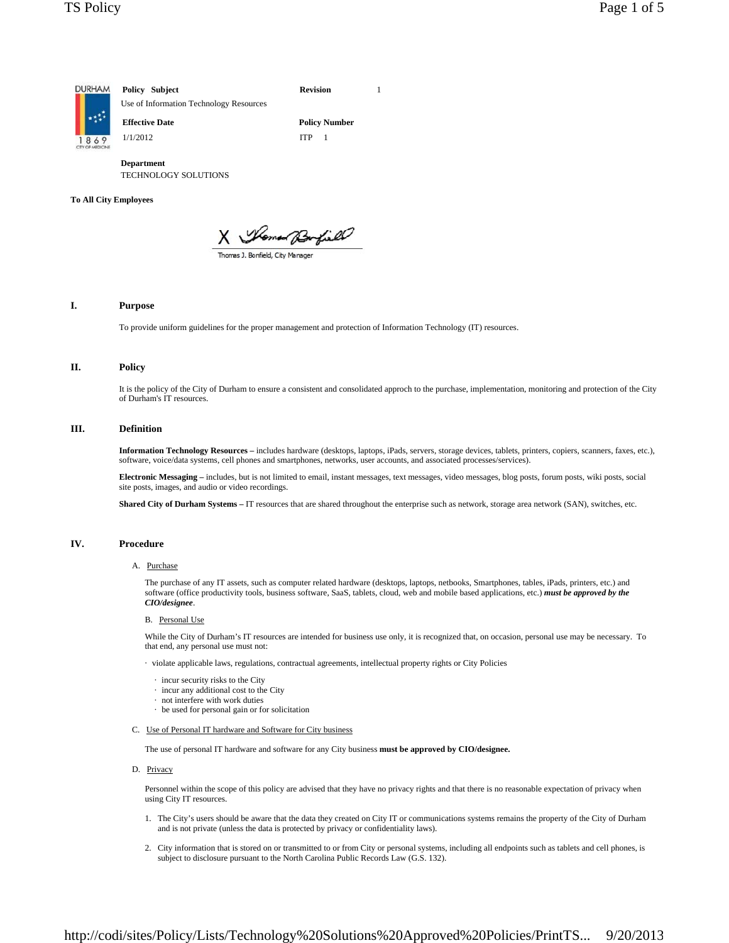

**Department** TECHNOLOGY SOLUTIONS

### **To All City Employees**

X Momed Borfield

# **I. Purpose**

To provide uniform guidelines for the proper management and protection of Information Technology (IT) resources.

## **II. Policy**

It is the policy of the City of Durham to ensure a consistent and consolidated approch to the purchase, implementation, monitoring and protection of the City of Durham's IT resources.

# **III. Definition**

**Information Technology Resources –** includes hardware (desktops, laptops, iPads, servers, storage devices, tablets, printers, copiers, scanners, faxes, etc.), software, voice/data systems, cell phones and smartphones, networks, user accounts, and associated processes/services).

Electronic Messaging – includes, but is not limited to email, instant messages, text messages, video messages, blog posts, forum posts, wiki posts, social site posts, images, and audio or video recordings.

**Shared City of Durham Systems –** IT resources that are shared throughout the enterprise such as network, storage area network (SAN), switches, etc.

# **IV. Procedure**

## A. Purchase

The purchase of any IT assets, such as computer related hardware (desktops, laptops, netbooks, Smartphones, tables, iPads, printers, etc.) and software (office productivity tools, business software, SaaS, tablets, cloud, web and mobile based applications, etc.) *must be approved by the CIO/designee*.

#### B. Personal Use

While the City of Durham's IT resources are intended for business use only, it is recognized that, on occasion, personal use may be necessary. To that end, any personal use must not:

· violate applicable laws, regulations, contractual agreements, intellectual property rights or City Policies

- · incur security risks to the City
- · incur any additional cost to the City
- · not interfere with work duties
- · be used for personal gain or for solicitation
- C. Use of Personal IT hardware and Software for City business

The use of personal IT hardware and software for any City business **must be approved by CIO/designee.**

#### D. Privacy

Personnel within the scope of this policy are advised that they have no privacy rights and that there is no reasonable expectation of privacy when using City IT resources.

- 1. The City's users should be aware that the data they created on City IT or communications systems remains the property of the City of Durham and is not private (unless the data is protected by privacy or confidentiality laws).
- 2. City information that is stored on or transmitted to or from City or personal systems, including all endpoints such as tablets and cell phones, is subject to disclosure pursuant to the North Carolina Public Records Law (G.S. 132).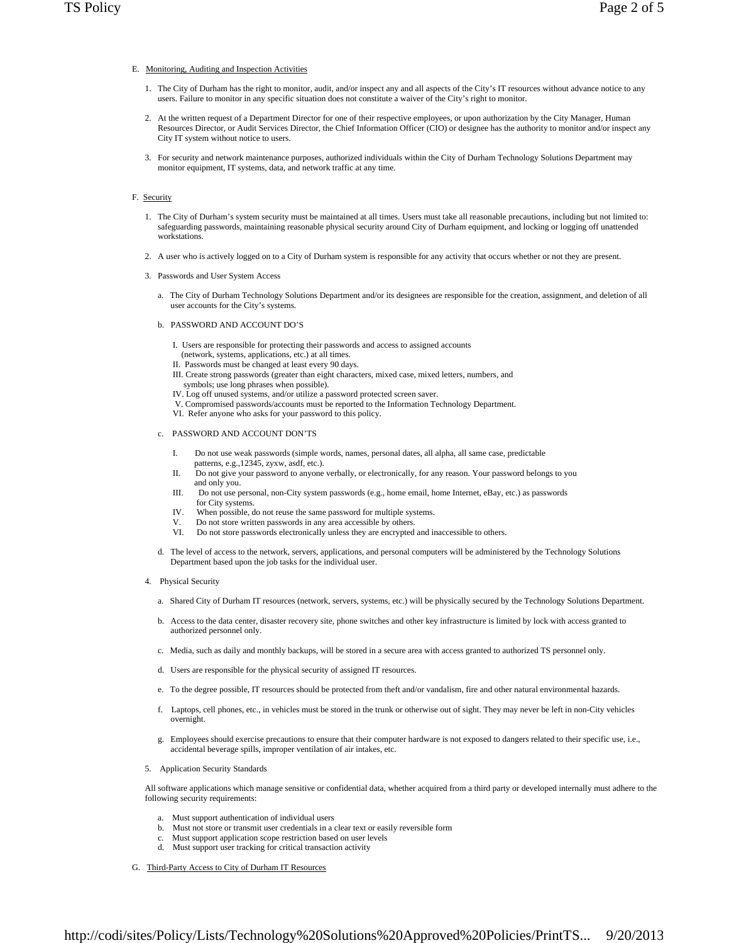### E. Monitoring, Auditing and Inspection Activities

- 1. The City of Durham has the right to monitor, audit, and/or inspect any and all aspects of the City's IT resources without advance notice to any users. Failure to monitor in any specific situation does not constitute a waiver of the City's right to monitor.
- 2. At the written request of a Department Director for one of their respective employees, or upon authorization by the City Manager, Human Resources Director, or Audit Services Director, the Chief Information Officer (CIO) or designee has the authority to monitor and/or inspect any City IT system without notice to users.
- 3. For security and network maintenance purposes, authorized individuals within the City of Durham Technology Solutions Department may monitor equipment, IT systems, data, and network traffic at any time.

#### F. Security

- 1. The City of Durham's system security must be maintained at all times. Users must take all reasonable precautions, including but not limited to: safeguarding passwords, maintaining reasonable physical security around City of Durham equipment, and locking or logging off unattended workstations.
- 2. A user who is actively logged on to a City of Durham system is responsible for any activity that occurs whether or not they are present.
- 3. Passwords and User System Access
	- a. The City of Durham Technology Solutions Department and/or its designees are responsible for the creation, assignment, and deletion of all user accounts for the City's systems.
	- b. PASSWORD AND ACCOUNT DO'S
		- I. Users are responsible for protecting their passwords and access to assigned accounts
		- (network, systems, applications, etc.) at all times.
		- II. Passwords must be changed at least every 90 days.
		- III. Create strong passwords (greater than eight characters, mixed case, mixed letters, numbers, and symbols; use long phrases when possible).
		- IV. Log off unused systems, and/or utilize a password protected screen saver.
		- V. Compromised passwords/accounts must be reported to the Information Technology Department.
		- VI. Refer anyone who asks for your password to this policy.

## c. PASSWORD AND ACCOUNT DON'TS

- I. Do not use weak passwords (simple words, names, personal dates, all alpha, all same case, predictable patterns, e.g.,12345, zyxw, asdf, etc.).
- II. Do not give your password to anyone verbally, or electronically, for any reason. Your password belongs to you and only you.
- III. Do not use personal, non-City system passwords (e.g., home email, home Internet, eBay, etc.) as passwords for City systems.
- IV. When possible, do not reuse the same password for multiple systems.
- V. Do not store written passwords in any area accessible by others.<br>VI. Do not store passwords electronically unless they are encrypted
- Do not store passwords electronically unless they are encrypted and inaccessible to others.
- d. The level of access to the network, servers, applications, and personal computers will be administered by the Technology Solutions Department based upon the job tasks for the individual user.
- 4. Physical Security
	- a. Shared City of Durham IT resources (network, servers, systems, etc.) will be physically secured by the Technology Solutions Department.
	- b. Access to the data center, disaster recovery site, phone switches and other key infrastructure is limited by lock with access granted to authorized personnel only.
	- c. Media, such as daily and monthly backups, will be stored in a secure area with access granted to authorized TS personnel only.
	- d. Users are responsible for the physical security of assigned IT resources.
	- e. To the degree possible, IT resources should be protected from theft and/or vandalism, fire and other natural environmental hazards.
	- f. Laptops, cell phones, etc., in vehicles must be stored in the trunk or otherwise out of sight. They may never be left in non-City vehicles overnight.
	- g. Employees should exercise precautions to ensure that their computer hardware is not exposed to dangers related to their specific use, i.e., accidental beverage spills, improper ventilation of air intakes, etc.
- 5. Application Security Standards

All software applications which manage sensitive or confidential data, whether acquired from a third party or developed internally must adhere to the following security requirements:

- a. Must support authentication of individual users
- b. Must not store or transmit user credentials in a clear text or easily reversible form
- Must support application scope restriction based on user levels
- d. Must support user tracking for critical transaction activity
- G. Third-Party Access to City of Durham IT Resources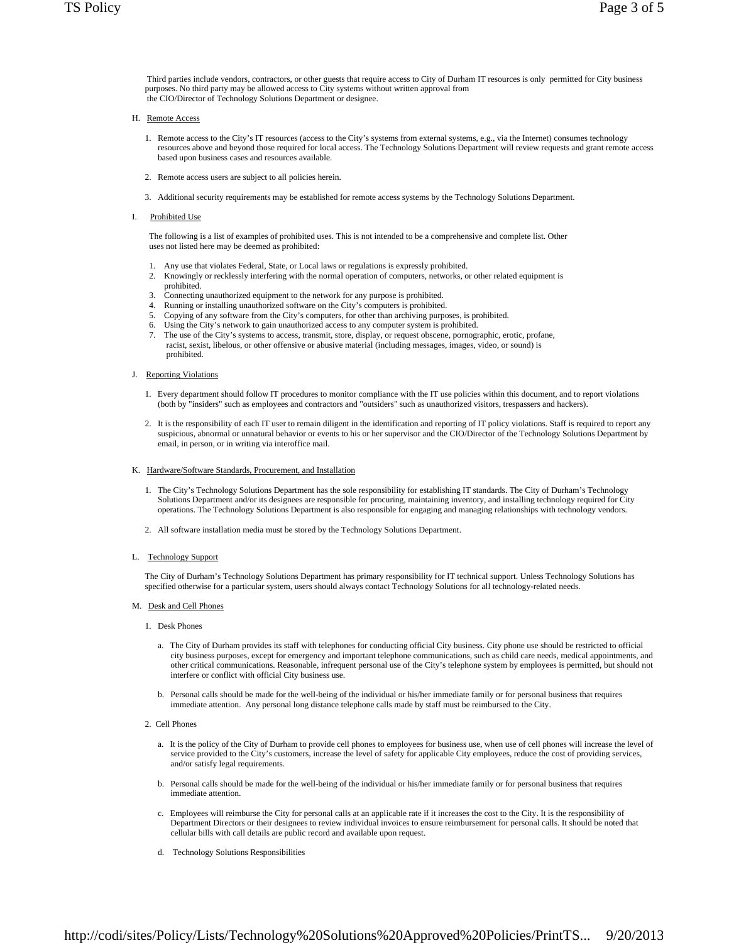Third parties include vendors, contractors, or other guests that require access to City of Durham IT resources is only permitted for City business purposes. No third party may be allowed access to City systems without written approval from the CIO/Director of Technology Solutions Department or designee.

- H. Remote Access
	- 1. Remote access to the City's IT resources (access to the City's systems from external systems, e.g., via the Internet) consumes technology resources above and beyond those required for local access. The Technology Solutions Department will review requests and grant remote access based upon business cases and resources available.
	- 2. Remote access users are subject to all policies herein.
	- 3. Additional security requirements may be established for remote access systems by the Technology Solutions Department.
- I. Prohibited Use

 The following is a list of examples of prohibited uses. This is not intended to be a comprehensive and complete list. Other uses not listed here may be deemed as prohibited:

- 1. Any use that violates Federal, State, or Local laws or regulations is expressly prohibited.
- 2. Knowingly or recklessly interfering with the normal operation of computers, networks, or other related equipment is prohibited.
- 3. Connecting unauthorized equipment to the network for any purpose is prohibited.
- 4. Running or installing unauthorized software on the City's computers is prohibited.
- 5. Copying of any software from the City's computers, for other than archiving purposes, is prohibited.
- 6. Using the City's network to gain unauthorized access to any computer system is prohibited.
- 7. The use of the City's systems to access, transmit, store, display, or request obscene, pornographic, erotic, profane, racist, sexist, libelous, or other offensive or abusive material (including messages, images, video, or sound) is prohibited.

#### J. Reporting Violations

- 1. Every department should follow IT procedures to monitor compliance with the IT use policies within this document, and to report violations (both by "insiders" such as employees and contractors and "outsiders" such as unauthorized visitors, trespassers and hackers).
- 2. It is the responsibility of each IT user to remain diligent in the identification and reporting of IT policy violations. Staff is required to report any suspicious, abnormal or unnatural behavior or events to his or her supervisor and the CIO/Director of the Technology Solutions Department by email, in person, or in writing via interoffice mail.

#### K. Hardware/Software Standards, Procurement, and Installation

- 1. The City's Technology Solutions Department has the sole responsibility for establishing IT standards. The City of Durham's Technology Solutions Department and/or its designees are responsible for procuring, maintaining inventory, and installing technology required for City operations. The Technology Solutions Department is also responsible for engaging and managing relationships with technology vendors.
- 2. All software installation media must be stored by the Technology Solutions Department.
- L. Technology Support

The City of Durham's Technology Solutions Department has primary responsibility for IT technical support. Unless Technology Solutions has specified otherwise for a particular system, users should always contact Technology Solutions for all technology-related needs.

- M. Desk and Cell Phones
	- 1. Desk Phones
		- a. The City of Durham provides its staff with telephones for conducting official City business. City phone use should be restricted to official city business purposes, except for emergency and important telephone communications, such as child care needs, medical appointments, and other critical communications. Reasonable, infrequent personal use of the City's telephone system by employees is permitted, but should not interfere or conflict with official City business use.
		- b. Personal calls should be made for the well-being of the individual or his/her immediate family or for personal business that requires immediate attention. Any personal long distance telephone calls made by staff must be reimbursed to the City.
	- 2. Cell Phones
		- a. It is the policy of the City of Durham to provide cell phones to employees for business use, when use of cell phones will increase the level of service provided to the City's customers, increase the level of safety for applicable City employees, reduce the cost of providing services, and/or satisfy legal requirements.
		- b. Personal calls should be made for the well-being of the individual or his/her immediate family or for personal business that requires immediate attention.
		- c. Employees will reimburse the City for personal calls at an applicable rate if it increases the cost to the City. It is the responsibility of Department Directors or their designees to review individual invoices to ensure reimbursement for personal calls. It should be noted that cellular bills with call details are public record and available upon request.
		- d. Technology Solutions Responsibilities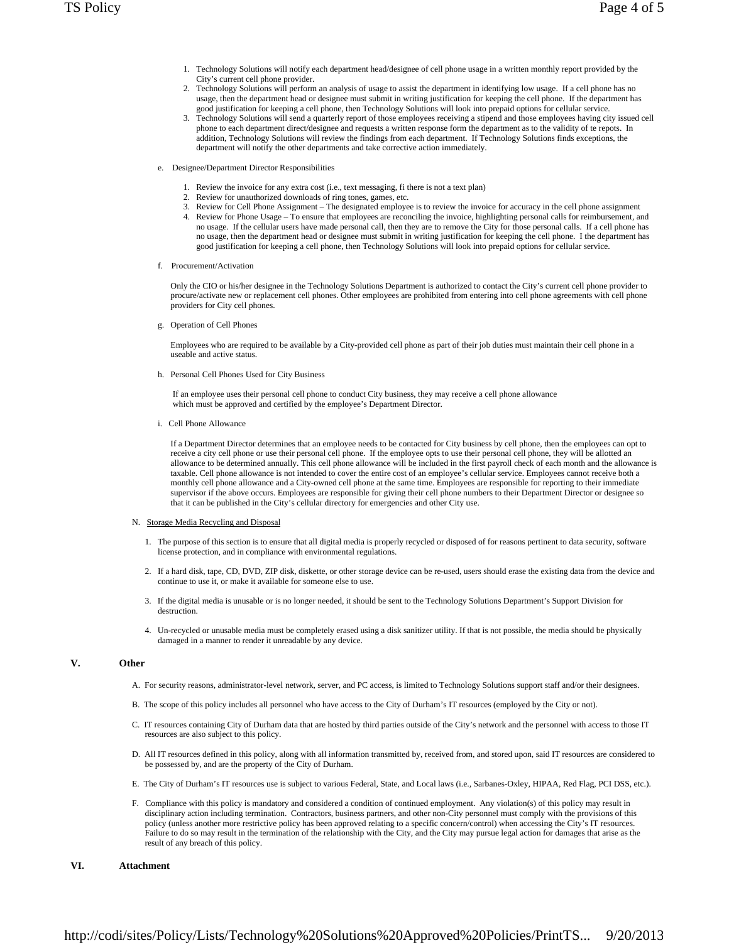- 1. Technology Solutions will notify each department head/designee of cell phone usage in a written monthly report provided by the City's current cell phone provider.
- 2. Technology Solutions will perform an analysis of usage to assist the department in identifying low usage. If a cell phone has no usage, then the department head or designee must submit in writing justification for keeping the cell phone. If the department has good justification for keeping a cell phone, then Technology Solutions will look into prepaid options for cellular service.
- 3. Technology Solutions will send a quarterly report of those employees receiving a stipend and those employees having city issued cell phone to each department direct/designee and requests a written response form the department as to the validity of te repots. In addition, Technology Solutions will review the findings from each department. If Technology Solutions finds exceptions, the department will notify the other departments and take corrective action immediately.
- e. Designee/Department Director Responsibilities
	- 1. Review the invoice for any extra cost (i.e., text messaging, fi there is not a text plan)
	- 2. Review for unauthorized downloads of ring tones, games, etc.
	- 3. Review for Cell Phone Assignment The designated employee is to review the invoice for accuracy in the cell phone assignment
	- 4. Review for Phone Usage To ensure that employees are reconciling the invoice, highlighting personal calls for reimbursement, and no usage. If the cellular users have made personal call, then they are to remove the City for those personal calls. If a cell phone has no usage, then the department head or designee must submit in writing justification for keeping the cell phone. I the department has good justification for keeping a cell phone, then Technology Solutions will look into prepaid options for cellular service.
- f. Procurement/Activation

Only the CIO or his/her designee in the Technology Solutions Department is authorized to contact the City's current cell phone provider to procure/activate new or replacement cell phones. Other employees are prohibited from entering into cell phone agreements with cell phone providers for City cell phones.

g. Operation of Cell Phones

Employees who are required to be available by a City-provided cell phone as part of their job duties must maintain their cell phone in a useable and active status.

h. Personal Cell Phones Used for City Business

 If an employee uses their personal cell phone to conduct City business, they may receive a cell phone allowance which must be approved and certified by the employee's Department Director.

i. Cell Phone Allowance

If a Department Director determines that an employee needs to be contacted for City business by cell phone, then the employees can opt to receive a city cell phone or use their personal cell phone. If the employee opts to use their personal cell phone, they will be allotted an allowance to be determined annually. This cell phone allowance will be included in the first payroll check of each month and the allowance is taxable. Cell phone allowance is not intended to cover the entire cost of an employee's cellular service. Employees cannot receive both a monthly cell phone allowance and a City-owned cell phone at the same time. Employees are responsible for reporting to their immediate supervisor if the above occurs. Employees are responsible for giving their cell phone numbers to their Department Director or designee so that it can be published in the City's cellular directory for emergencies and other City use.

#### N. Storage Media Recycling and Disposal

- 1. The purpose of this section is to ensure that all digital media is properly recycled or disposed of for reasons pertinent to data security, software license protection, and in compliance with environmental regulations.
- 2. If a hard disk, tape, CD, DVD, ZIP disk, diskette, or other storage device can be re-used, users should erase the existing data from the device and continue to use it, or make it available for someone else to use.
- 3. If the digital media is unusable or is no longer needed, it should be sent to the Technology Solutions Department's Support Division for destruction.
- 4. Un-recycled or unusable media must be completely erased using a disk sanitizer utility. If that is not possible, the media should be physically damaged in a manner to render it unreadable by any device.

# **V. Other**

- A. For security reasons, administrator-level network, server, and PC access, is limited to Technology Solutions support staff and/or their designees.
- B. The scope of this policy includes all personnel who have access to the City of Durham's IT resources (employed by the City or not).
- C. IT resources containing City of Durham data that are hosted by third parties outside of the City's network and the personnel with access to those IT resources are also subject to this policy.
- D. All IT resources defined in this policy, along with all information transmitted by, received from, and stored upon, said IT resources are considered to be possessed by, and are the property of the City of Durham.
- E. The City of Durham's IT resources use is subject to various Federal, State, and Local laws (i.e., Sarbanes-Oxley, HIPAA, Red Flag, PCI DSS, etc.).
- F. Compliance with this policy is mandatory and considered a condition of continued employment. Any violation(s) of this policy may result in disciplinary action including termination. Contractors, business partners, and other non-City personnel must comply with the provisions of this policy (unless another more restrictive policy has been approved relating to a specific concern/control) when accessing the City's IT resources. Failure to do so may result in the termination of the relationship with the City, and the City may pursue legal action for damages that arise as the result of any breach of this policy.

# **VI. Attachment**